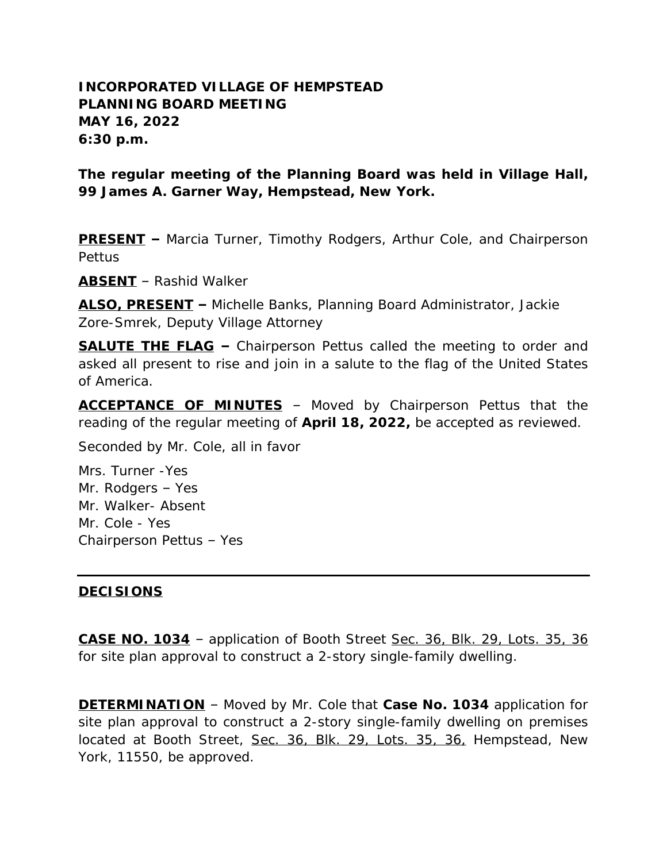## **INCORPORATED VILLAGE OF HEMPSTEAD PLANNING BOARD MEETING MAY 16, 2022 6:30 p.m.**

**The regular meeting of the Planning Board was held in Village Hall, 99 James A. Garner Way, Hempstead, New York.**

**PRESENT –** Marcia Turner, Timothy Rodgers, Arthur Cole, and Chairperson Pettus

**ABSENT** – Rashid Walker

**ALSO, PRESENT –** Michelle Banks, Planning Board Administrator, Jackie Zore-Smrek, Deputy Village Attorney

**SALUTE THE FLAG –** Chairperson Pettus called the meeting to order and asked all present to rise and join in a salute to the flag of the United States of America.

**ACCEPTANCE OF MINUTES** – Moved by Chairperson Pettus that the reading of the regular meeting of **April 18, 2022,** be accepted as reviewed.

Seconded by Mr. Cole, all in favor

Mrs. Turner -Yes Mr. Rodgers – Yes Mr. Walker- Absent Mr. Cole - Yes Chairperson Pettus – Yes

## **DECISIONS**

**CASE NO. 1034** – application of Booth Street Sec. 36, Blk. 29, Lots. 35, 36 for site plan approval to construct a 2-story single-family dwelling.

**DETERMINATION** – Moved by Mr. Cole that **Case No. 1034** application for site plan approval to construct a 2-story single-family dwelling on premises located at Booth Street, Sec. 36, Blk. 29, Lots. 35, 36, Hempstead, New York, 11550, be approved.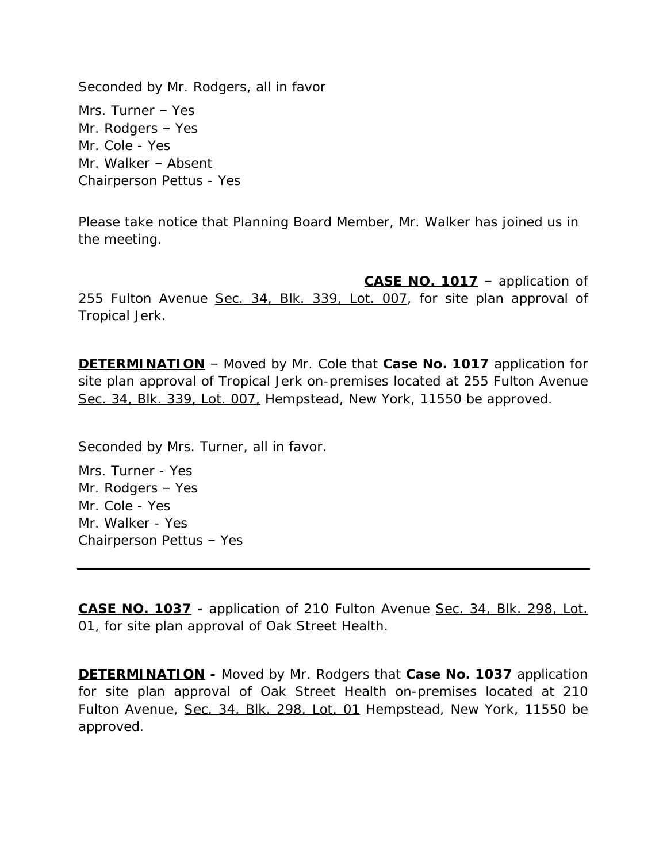Seconded by Mr. Rodgers, all in favor Mrs. Turner – Yes Mr. Rodgers – Yes Mr. Cole - Yes Mr. Walker – Absent Chairperson Pettus - Yes

Please take notice that Planning Board Member, Mr. Walker has joined us in the meeting.

**CASE NO. 1017** – application of 255 Fulton Avenue Sec. 34, Blk. 339, Lot. 007, for site plan approval of Tropical Jerk.

**DETERMINATION** – Moved by Mr. Cole that **Case No. 1017** application for site plan approval of Tropical Jerk on-premises located at 255 Fulton Avenue Sec. 34, Blk. 339, Lot. 007, Hempstead, New York, 11550 be approved.

Seconded by Mrs. Turner, all in favor.

Mrs. Turner - Yes Mr. Rodgers – Yes Mr. Cole - Yes Mr. Walker - Yes Chairperson Pettus – Yes

**CASE NO. 1037 -** application of 210 Fulton Avenue Sec. 34, Blk. 298, Lot. 01, for site plan approval of Oak Street Health.

**DETERMINATION -** Moved by Mr. Rodgers that **Case No. 1037** application for site plan approval of Oak Street Health on-premises located at 210 Fulton Avenue, Sec. 34, Blk. 298, Lot. 01 Hempstead, New York, 11550 be approved.